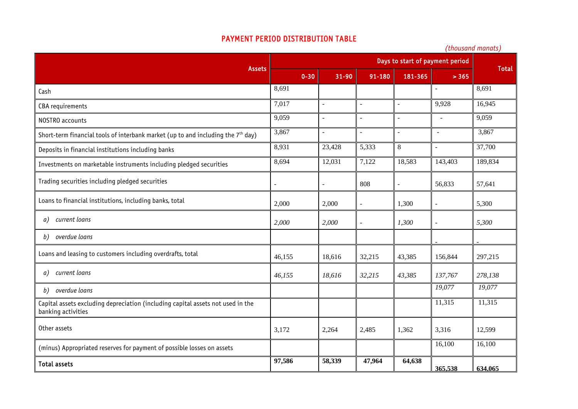## PAYMENT PERIOD DISTRIBUTION TABLE

|                                                                                                       | Days to start of payment period |                      |                |                |                          |              |
|-------------------------------------------------------------------------------------------------------|---------------------------------|----------------------|----------------|----------------|--------------------------|--------------|
| <b>Assets</b>                                                                                         | $0 - 30$                        | $31 - 90$            | 91-180         | 181-365        | > 365                    | <b>Total</b> |
| Cash                                                                                                  | 8,691                           |                      |                |                |                          | 8,691        |
| CBA requirements                                                                                      | 7,017                           | $\blacksquare$       | $\sim$         | $\overline{a}$ | 9,928                    | 16,945       |
| NOSTRO accounts                                                                                       | 9,059                           | $\sim$               | $\overline{a}$ |                | $\sim$                   | 9,059        |
| Short-term financial tools of interbank market (up to and including the $7th$ day)                    | 3,867                           | $\ddot{\phantom{1}}$ | $\sim$         | $\sim$         | $\sim$                   | 3,867        |
| Deposits in financial institutions including banks                                                    | 8,931                           | 23,428               | 5,333          | 8              | $\overline{\phantom{a}}$ | 37,700       |
| Investments on marketable instruments including pledged securities                                    | 8,694                           | 12,031               | 7,122          | 18,583         | 143,403                  | 189,834      |
| Trading securities including pledged securities                                                       |                                 | $\blacksquare$       | 808            | $\sim$         | 56,833                   | 57,641       |
| Loans to financial institutions, including banks, total                                               | 2,000                           | 2,000                | $\sim$         | 1,300          | $\blacksquare$           | 5,300        |
| current loans<br>a)                                                                                   | 2,000                           | 2,000                | $\overline{a}$ | 1,300          | ÷,                       | 5,300        |
| overdue loans<br>b)                                                                                   |                                 |                      |                |                |                          |              |
| Loans and leasing to customers including overdrafts, total                                            | 46,155                          | 18,616               | 32,215         | 43,385         | 156,844                  | 297,215      |
| current loans<br>a)                                                                                   | 46,155                          | 18,616               | 32,215         | 43,385         | 137,767                  | 278,138      |
| overdue loans<br>b)                                                                                   |                                 |                      |                |                | 19,077                   | 19,077       |
| Capital assets excluding depreciation (including capital assets not used in the<br>banking activities |                                 |                      |                |                | 11,315                   | 11,315       |
| Other assets                                                                                          | 3,172                           | 2,264                | 2,485          | 1,362          | 3,316                    | 12,599       |
| (minus) Appropriated reserves for payment of possible losses on assets                                |                                 |                      |                |                | 16,100                   | 16,100       |
| <b>Total assets</b>                                                                                   | 97,586                          | 58,339               | 47,964         | 64,638         | 365,538                  | 634,065      |

*(thousand manats)*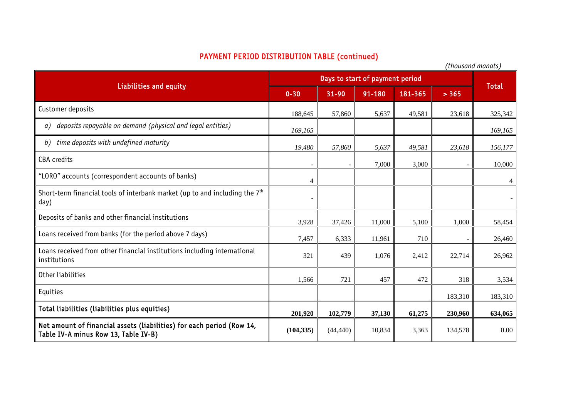## PAYMENT PERIOD DISTRIBUTION TABLE (continued)

|                                                                                                               |                                 |           |        |         | (UNUUSUNU MUNUUS) |              |
|---------------------------------------------------------------------------------------------------------------|---------------------------------|-----------|--------|---------|-------------------|--------------|
| <b>Liabilities and equity</b>                                                                                 | Days to start of payment period |           |        |         |                   |              |
|                                                                                                               | $0 - 30$                        | 31-90     | 91-180 | 181-365 | > 365             | <b>Total</b> |
| Customer deposits                                                                                             | 188,645                         | 57,860    | 5,637  | 49,581  | 23,618            | 325,342      |
| deposits repayable on demand (physical and legal entities)<br>a)                                              | 169,165                         |           |        |         |                   | 169,165      |
| time deposits with undefined maturity<br>b)                                                                   | 19,480                          | 57,860    | 5,637  | 49,581  | 23,618            | 156,177      |
| <b>CBA</b> credits                                                                                            |                                 |           | 7,000  | 3,000   |                   | 10,000       |
| "LORO" accounts (correspondent accounts of banks)                                                             | Δ                               |           |        |         |                   |              |
| Short-term financial tools of interbank market (up to and including the 7 <sup>th</sup><br>day)               |                                 |           |        |         |                   |              |
| Deposits of banks and other financial institutions                                                            | 3,928                           | 37,426    | 11,000 | 5,100   | 1,000             | 58,454       |
| Loans received from banks (for the period above 7 days)                                                       | 7,457                           | 6,333     | 11,961 | 710     |                   | 26,460       |
| Loans received from other financial institutions including international<br>institutions                      | 321                             | 439       | 1,076  | 2,412   | 22,714            | 26,962       |
| Other liabilities                                                                                             | 1,566                           | 721       | 457    | 472     | 318               | 3,534        |
| Equities                                                                                                      |                                 |           |        |         | 183,310           | 183,310      |
| Total liabilities (liabilities plus equities)                                                                 | 201,920                         | 102,779   | 37,130 | 61,275  | 230,960           | 634,065      |
| Net amount of financial assets (liabilities) for each period (Row 14,<br>Table IV-A minus Row 13, Table IV-B) | (104, 335)                      | (44, 440) | 10,834 | 3,363   | 134,578           | 0.00         |

*(thousand manats)*